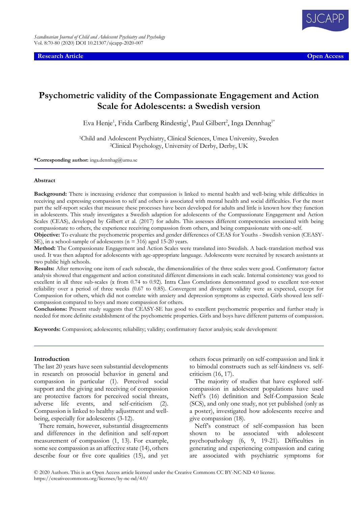**Research Article Open Access**



# **Psychometric validity of the Compassionate Engagement and Action Scale for Adolescents: a Swedish version**

Eva Henje<sup>1</sup>, Frida Carlberg Rindestig<sup>1</sup>, Paul Gilbert<sup>2</sup>, Inga Dennhag<sup>1\*</sup>

<sup>1</sup>Child and Adolescent Psychiatry, Clinical Sciences, Umea University, Sweden <sup>2</sup>Clinical Psychology, University of Derby, Derby, UK

**\*Corresponding author:** inga.dennhag@umu.se

#### **Abstract**

**Background:** There is increasing evidence that compassion is linked to mental health and well-being while difficulties in receiving and expressing compassion to self and others is associated with mental health and social difficulties. For the most part the self-report scales that measure these processes have been developed for adults and little is known how they function in adolescents. This study investigates a Swedish adaption for adolescents of the Compassionate Engagement and Action Scales (CEAS), developed by Gilbert et al. (2017) for adults. This assesses different competencies associated with being compassionate to others, the experience receiving compassion from others, and being compassionate with one-self.

**Objective:** To evaluate the psychometric properties and gender differences of CEAS for Youths - Swedish version (CEASY-SE), in a school-sample of adolescents (n = 316) aged 15-20 years.

**Method:** The Compassionate Engagement and Action Scales were translated into Swedish. A back-translation method was used. It was then adapted for adolescents with age-appropriate language. Adolescents were recruited by research assistants at two public high schools.

**Results:** After removing one item of each subscale, the dimensionalities of the three scales were good. Confirmatory factor analysis showed that engagement and action constituted different dimensions in each scale. Internal consistency was good to excellent in all three sub-scales (α from 0.74 to 0.92). Intra Class Correlations demonstrated good to excellent test-retest reliability over a period of three weeks (0.67 to 0.85). Convergent and divergent validity were as expected, except for Compassion for others, which did not correlate with anxiety and depression symptoms as expected. Girls showed less selfcompassion compared to boys and more compassion for others.

**Conclusions:** Present study suggests that CEASY-SE has good to excellent psychometric properties and further study is needed for more definite establishment of the psychometric properties. Girls and boys have different patterns of compassion.

**Keywords:** Compassion; adolescents; reliability; validity; confirmatory factor analysis; scale development

#### **Introduction**

The last 20 years have seen substantial developments in research on prosocial behavior in general and compassion in particular (1). Perceived social support and the giving and receiving of compassion are protective factors for perceived social threats, adverse life events, and self-criticism (2). Compassion is linked to healthy adjustment and wellbeing, especially for adolescents (3-12).

There remain, however, substantial disagreements and differences in the definition and self-report measurement of compassion (1, 13). For example, some see compassion as an affective state (14), others describe four or five core qualities (15), and yet others focus primarily on self-compassion and link it to bimodal constructs such as self-kindness vs. selfcriticism (16, 17).

The majority of studies that have explored selfcompassion in adolescent populations have used Neff's (16) definition and Self-Compassion Scale (SCS), and only one study, not yet published (only as a poster), investigated how adolescents receive and give compassion (18).

Neff's construct of self-compassion has been shown to be associated with adolescent psychopathology (6, 9, 19-21). Difficulties in generating and experiencing compassion and caring are associated with psychiatric symptoms for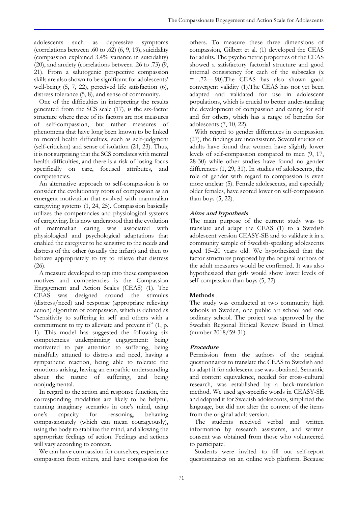adolescents such as depressive symptoms (correlations between .60 to .62) (6, 9, 19), suicidality (compassion explained 3.4% variance in suicidality) (20), and anxiety (correlations between .26 to .73) (9, 21). From a salutogenic perspective compassion skills are also shown to be significant for adolescents' well-being (5, 7, 22), perceived life satisfaction (6), distress tolerance (5, 8), and sense of community.

One of the difficulties in interpreting the results generated from the SCS scale (17), is the six-factor structure where three of its factors are not measures of self-compassion, but rather measures of phenomena that have long been known to be linked to mental health difficulties, such as self-judgment (self-criticism) and sense of isolation (21, 23). Thus, it is not surprising that the SCS correlates with mental health difficulties, and there is a risk of losing focus specifically on care, focused attributes, and competencies.

An alternative approach to self-compassion is to consider the evolutionary roots of compassion as an emergent motivation that evolved with mammalian caregiving systems (1, 24, 25). Compassion basically utilizes the competencies and physiological systems of caregiving. It is now understood that the evolution of mammalian caring was associated with physiological and psychological adaptations that enabled the caregiver to be sensitive to the needs and distress of the other (usually the infant) and then to behave appropriately to try to relieve that distress (26).

A measure developed to tap into these compassion motives and competencies is the Compassion Engagement and  $\tilde{Act}$  Scales (CEAS) (1). The CEAS was designed around the stimulus (distress/need) and response (appropriate relieving action) algorithm of compassion, which is defined as "sensitivity to suffering in self and others with a commitment to try to alleviate and prevent it" (1, p. 1). This model has suggested the following six competencies underpinning engagement: being motivated to pay attention to suffering, being mindfully attuned to distress and need, having a sympathetic reaction, being able to tolerate the emotions arising, having an empathic understanding about the nature of suffering, and being nonjudgmental.

In regard to the action and response function, the corresponding modalities are likely to be helpful, running imaginary scenarios in one's mind, using one's capacity for reasoning, behaving compassionately (which can mean courageously), using the body to stabilize the mind, and allowing the appropriate feelings of action. Feelings and actions will vary according to context.

We can have compassion for ourselves, experience compassion from others, and have compassion for

others. To measure these three dimensions of compassion, Gilbert et al. (1) developed the CEAS for adults. The psychometric properties of the CEAS showed a satisfactory factorial structure and good internal consistency for each of the subscales  $(\alpha)$ = .72—.90).The CEAS has also shown good convergent validity (1).The CEAS has not yet been adapted and validated for use in adolescent populations, which is crucial to better understanding the development of compassion and caring for self and for others, which has a range of benefits for adolescents (7, 10, 22).

With regard to gender differences in compassion (27), the findings are inconsistent. Several studies on adults have found that women have slightly lower levels of self-compassion compared to men (9, 17, 28-30) while other studies have found no gender differences (1, 29, 31). In studies of adolescents, the role of gender with regard to compassion is even more unclear (5). Female adolescents, and especially older females, have scored lower on self-compassion than boys (5, 22).

# **Aims and hypothesis**

The main purpose of the current study was to translate and adapt the CEAS (1) to a Swedish adolescent version CEASY-SE and to validate it in a community sample of Swedish-speaking adolescents aged 15–20 years old. We hypothesized that the factor structures proposed by the original authors of the adult measures would be confirmed. It was also hypothesized that girls would show lower levels of self-compassion than boys (5, 22).

# **Methods**

The study was conducted at two community high schools in Sweden, one public art school and one ordinary school. The project was approved by the Swedish Regional Ethical Review Board in Umeå (number 2018/59-31).

# **Procedure**

Permission from the authors of the original questionnaires to translate the CEAS to Swedish and to adapt it for adolescent use was obtained. Semantic and content equivalence, needed for cross-cultural research, was established by a back-translation method. We used age-specific words in CEASY-SE and adapted it for Swedish adolescents, simplified the language, but did not alter the content of the items from the original adult version.

The students received verbal and written information by research assistants, and written consent was obtained from those who volunteered to participate.

Students were invited to fill out self-report questionnaires on an online web platform. Because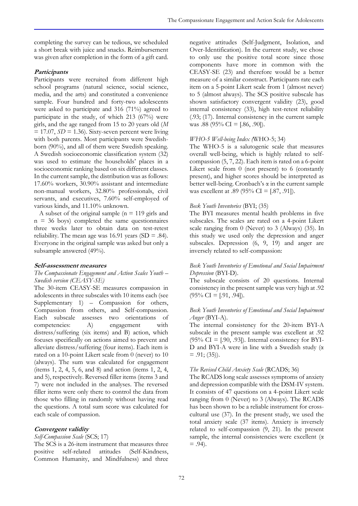completing the survey can be tedious, we scheduled a short break with juice and snacks. Reimbursement was given after completion in the form of a gift card.

### **Participants**

Participants were recruited from different high school programs (natural science, social science, media, and the arts) and constituted a convenience sample. Four hundred and forty-two adolescents were asked to participate and 316 (71%) agreed to participate in the study, of which 213 (67%) were girls, and the age ranged from 15 to 20 years old (*M*  $= 17.07$ ,  $SD = 1.36$ ). Sixty-seven percent were living with both parents. Most participants were Swedishborn (90%), and all of them were Swedish speaking. A Swedish socioeconomic classification system (32) was used to estimate the households' places in a socioeconomic ranking based on six different classes. In the current sample, the distribution was as follows: 17.60% workers, 30.90% assistant and intermediate non-manual workers, 32.80% professionals, civil servants, and executives, 7.60% self-employed of various kinds, and 11.10% unknown.

A subset of the original sample ( $n = 119$  girls and  $n = 36$  boys) completed the same questionnaires three weeks later to obtain data on test-retest reliability. The mean age was  $16.91$  years (SD = .84). Everyone in the original sample was asked but only a subsample answered (49%).

### **Self-assessment measures**

#### *The Compassionate Engagement and Action Scales Youth – Swedish version (CEASY-SE)*

The 30-item CEASY-SE measures compassion in adolescents in three subscales with 10 items each (see Supplementary 1) – Compassion for others, Compassion from others, and Self-compassion. Each subscale assesses two orientations of competencies: A) engagement with distress/suffering (six items) and B) action, which focuses specifically on actions aimed to prevent and alleviate distress/suffering (four items). Each item is rated on a 10-point Likert scale from 0 (never) to 10 (always). The sum was calculated for engagement (items 1, 2, 4, 5, 6, and 8) and action (items 1, 2, 4, and 5), respectively. Reversed filler items (items 3 and 7) were not included in the analyses. The reversed filler items were only there to control the data from those who filling in randomly without having read the questions. A total sum score was calculated for each scale of compassion.

### **Convergent validity**

### *Self-Compassion Scale* (SCS; 17)

The SCS is a 26-item instrument that measures three positive self-related attitudes (Self-Kindness, Common Humanity, and Mindfulness) and three negative attitudes (Self-Judgment, Isolation, and Over-Identification). In the current study, we chose to only use the positive total score since those components have more in common with the CEASY-SE (23) and therefore would be a better measure of a similar construct. Participants rate each item on a 5-point Likert scale from 1 (almost never) to 5 (almost always). The SCS positive subscale has shown satisfactory convergent validity (23), good internal consistency (33), high test-retest reliability (.93; (17). Internal consistency in the current sample was .88 (95% CI = [.86, .90]).

### *WHO-5 Well-being Index (*WHO-5; 34)

The WHO-5 is a salutogenic scale that measures overall well-being, which is highly related to selfcompassion (5, 7, 22). Each item is rated on a 6-point Likert scale from 0 (not present) to 6 (constantly present), and higher scores should be interpreted as better well-being. Cronbach's α in the current sample was excellent at .89 (95% CI = [.87, .91]).

### *Beck Youth Inventories* (BYI; (35)

The BYI measures mental health problems in five subscales. The scales are rated on a 4-point Likert scale ranging from 0 (Never) to 3 (Always) (35). In this study we used only the depression and anger subscales. Depression (6, 9, 19) and anger are inversely related to self-compassion:

### *Beck Youth Inventories of Emotional and Social Impairment Depression* (BYI-D).

The subscale consists of 20 questions. Internal consistency in the present sample was very high at .92  $(95\% \text{ CI} = [.91, .94]).$ 

#### *Beck Youth Inventories of Emotional and Social Impairment Anger* (BYI-A).

The internal consistency for the 20-item BYI-A subscale in the present sample was excellent at .92  $(95\% \text{ CI} = [.90, .93])$ . Internal consistency for BYI-D and BYI-A were in line with a Swedish study (α  $= .91$ ; (35)).

### *The Revised Child Anxiety Scale* (RCADS; 36)

The RCADS long scale assesses symptoms of anxiety and depression compatible with the DSM-IV system. It consists of 47 questions on a 4-point Likert scale ranging from 0 (Never) to 3 (Always). The RCADS has been shown to be a reliable instrument for crosscultural use (37). In the present study, we used the total anxiety scale (37 items). Anxiety is inversely related to self-compassion (9, 21). In the present sample, the internal consistencies were excellent ( $\alpha$  $= .94$ ).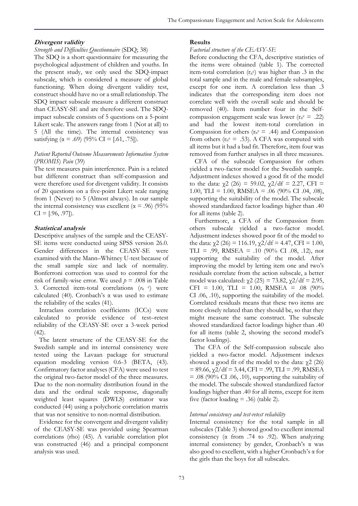### **Divergent validity**

### *Strength and Difficulties Questionnaire* (SDQ; 38)

The SDQ is a short questionnaire for measuring the psychological adjustment of children and youths. In the present study, we only used the SDQ-impact subscale, which is considered a measure of global functioning. When doing divergent validity test, construct should have no or a small relationship. The SDQ impact subscale measure a different construct than CEASY-SE and are therefore used. The SDQimpact subscale consists of 5 questions on a 5-point Likert scale. The answers range from 1 (Not at all) to 5 (All the time). The internal consistency was satisfying ( $\alpha$  = .69) (95% CI = [.61, .75]).

### *Patient Reported Outcome Measurements Information System*  (*PROMIS*) *Pain* (39)

The test measures pain interference. Pain is a related but different construct than self-compassion and were therefore used for divergent validity. It consists of 20 questions on a five-point Likert scale ranging from 1 (Never) to 5 (Almost always). In our sample the internal consistency was excellent ( $\alpha$  = .96) (95%  $CI = [.96, .97]$ .

### **Statistical analysis**

Descriptive analyses of the sample and the CEASY-SE items were conducted using SPSS version 26.0. Gender differences in the CEASY-SE were examined with the Mann–Whitney U-test because of the small sample size and lack of normality. Bonferroni correction was used to control for the risk of family-wise error. We used  $p = .008$  in Table 3. Corrected item-total correlations  $(r_{\text{it}} \circ)$  were calculated (40). Cronbach's  $\alpha$  was used to estimate the reliability of the scales (41).

Intraclass correlation coefficients (ICCs) were calculated to provide evidence of test–retest reliability of the CEASY-SE over a 3-week period  $(42)$ .

The latent structure of the CEASY-SE for the Swedish sample and its internal consistency were tested using the Lavaan package for structural equation modeling version 0.6-3 (BETA, (43). Confirmatory factor analyses (CFA) were used to test the original two-factor model of the three measures. Due to the non-normality distribution found in the data and the ordinal scale response, diagonally weighted least squares (DWLS) estimator was conducted (44) using a polychoric correlation matrix that was not sensitive to non-normal distribution.

Evidence for the convergent and divergent validity of the CEASY-SE was provided using Spearman correlations (rho) (45). A variable correlation plot was constructed (46) and a principal component analysis was used.

#### **Results**

#### *Factorial structure of the CEASY-SE*

Before conducting the CFA, descriptive statistics of the items were obtained (table 1). The corrected item-total correlation  $(r_{it}c)$  was higher than .3 in the total sample and in the male and female subsamples, except for one item. A correlation less than .3 indicates that the corresponding item does not correlate well with the overall scale and should be removed (40). Item number four in the Selfcompassion engagement scale was lower ( $r_{it}$ c = .22) and had the lowest item-total correlation in Compassion for others ( $r_{it}c = .44$ ) and Compassion from others ( $r_{it} = .53$ ). A CFA was computed with all items but it had a bad fit. Therefore, item four was removed from further analyses in all three measures.

CFA of the subscale Compassion for others yielded a two-factor model for the Swedish sample. Adjustment indexes showed a good fit of the model to the data:  $\chi$ 2 (26) = 59.02,  $\chi$ 2/df = 2.27, CFI = 1.00, TLI = 1.00, RMSEA = .06  $(90\% \text{ CI}$  .04, .08), supporting the suitability of the model. The subscale showed standardized factor loadings higher than .40 for all items (table 2).

Furthermore, a CFA of the Compassion from others subscale yielded a two-factor model. Adjustment indexes showed poor fit of the model to the data:  $\chi$ 2 (26) = 116.19,  $\chi$ 2/df = 4.47, CFI = 1.00, TLI = .99, RMSEA = .10  $(90\% \text{ CI} \cdot .08, .12)$ , not supporting the suitability of the model. After improving the model by letting item one and two's residuals correlate from the action subscale, a better model was calculated:  $χ2 (25) = 73.82$ ,  $χ2/df = 2.95$ ,  $CFI = 1.00, TLI = 1.00, RMSEA = .08$  (90%) CI .06, .10), supporting the suitability of the model. Correlated residuals means that these two items are more closely related than they should be, so that they might measure the same construct. The subscale showed standardized factor loadings higher than .40 for all items (table 2, showing the second model's factor loadings).

The CFA of the Self-compassion subscale also yielded a two-factor model. Adjustment indexes showed a good fit of the model to the data:  $χ2(26)$  $= 89.66$ ,  $\chi$ 2/df = 3.44, CFI = .99, TLI = .99, RMSEA  $= .08$  (90% CI .06, .10), supporting the suitability of the model. The subscale showed standardized factor loadings higher than .40 for all items, except for item five (factor loading  $= .36$ ) (table 2).

### *Internal consistency and test-retest reliability*

Internal consistency for the total sample in all subscales (Table 3) showed good to excellent internal consistency ( $\alpha$  from .74 to .92). When analyzing internal consistency by gender, Cronbach's α was also good to excellent, with a higher Cronbach's α for the girls than the boys for all subscales.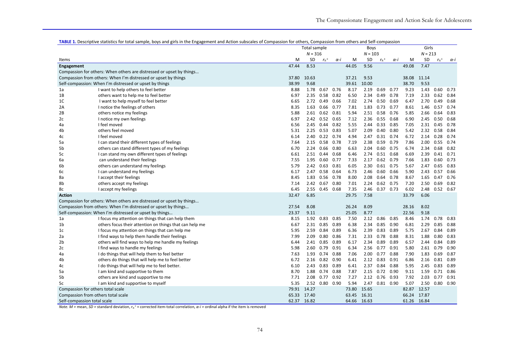|                |                                                                      |       | Total sample |                       |      |       | <b>Boys</b> |                       |      |       | Girls     |                       |      |  |
|----------------|----------------------------------------------------------------------|-------|--------------|-----------------------|------|-------|-------------|-----------------------|------|-------|-----------|-----------------------|------|--|
|                |                                                                      |       | $N = 316$    |                       |      |       | $N = 103$   |                       |      |       | $N = 213$ |                       |      |  |
| Items          |                                                                      | M     | <b>SD</b>    | $r_{it}$ <sup>c</sup> | α-i  | M     | SD          | $r_{it}$ <sup>c</sup> | α-i  | M     | SD        | $r_{it}$ <sup>c</sup> | α-i  |  |
| Engagement     |                                                                      | 47.44 | 8.53         |                       |      | 44.05 | 9.56        |                       |      | 49.08 | 7.47      |                       |      |  |
|                | Compassion for others: When others are distressed or upset by things |       |              |                       |      |       |             |                       |      |       |           |                       |      |  |
|                | Compassion from others: When I'm distressed or upset by things       | 37.80 | 10.63        |                       |      | 37.21 | 9.53        |                       |      | 38.08 | 11.14     |                       |      |  |
|                | Self-compassion: When I'm distressed or upset by things              | 38.99 | 9.68         |                       |      | 39.61 | 10.00       |                       |      | 38.70 | 9.53      |                       |      |  |
| 1a             | I want to help others to feel better                                 | 8.88  | 1.78         | 0.67                  | 0.76 | 8.17  | 2.19        | 0.69                  | 0.77 | 9.23  | 1.43      | 0.60                  | 0.73 |  |
| 1B             | others want to help me to feel better                                | 6.97  | 2.35         | 0.58 0.82             |      | 6.50  | 2.34        | $0.49$ 0.78           |      | 7.19  | 2.33      | 0.62                  | 0.84 |  |
| 1C             | I want to help myself to feel better                                 | 6.65  | 2.72         | 0.49                  | 0.66 | 7.02  | 2.74        | 0.50                  | 0.69 | 6.47  | 2.70      | 0.49                  | 0.68 |  |
| 2A             | I notice the feelings of others                                      | 8.35  | 1.63         | 0.66                  | 0.77 | 7.81  | 1.83        | 0.73                  | 0.77 | 8.61  | 1.46      | 0.57                  | 0.74 |  |
| 2B             | others notice my feelings                                            | 5.88  | 2.61         | $0.62$ $0.81$         |      | 5.94  | 2.51        | 0.58                  | 0.76 | 5.85  | 2.66      | 0.64                  | 0.83 |  |
| 2c             | I notice my own feelings                                             | 6.97  | 2.42         | $0.52$ 0.65           |      | 7.12  | 2.36        | $0.55$ 0.68           |      | 6.90  | 2.45      | 0.50                  | 0.68 |  |
| 4a             | I feel moved                                                         | 6.56  | 2.45         | $0.44$ 0.82           |      | 5.55  | 2.44        | 0.33 0.85             |      | 7.05  | 2.31      | 0.45                  | 0.78 |  |
| 4b             | others feel moved                                                    | 5.31  | 2.25         | 0.53                  | 0.83 | 5.07  | 2.09        | 0.40                  | 0.80 | 5.42  | 2.32      | 0.58                  | 0.84 |  |
| 4c             | I feel moved                                                         | 6.14  | 2.40         | $0.22$ 0.74           |      | 4.94  | 2.47        | $0.31$ 0.74           |      | 6.72  |           | 2.14 0.28             | 0.74 |  |
| 5a             | I can stand their different types of feelings                        | 7.64  | 2.15         | 0.58                  | 0.78 | 7.19  | 2.38        | 0.59                  | 0.79 | 7.86  | 2.00      | 0.55                  | 0.74 |  |
| 5b             | others can stand different types of my feelings                      | 6.70  | 2.24         | 0.66                  | 0.80 | 6.63  | 2.04        | 0.60                  | 0.75 | 6.74  | 2.34      | 0.68                  | 0.82 |  |
| 5c             | I can stand my own different types of feelings                       | 6.61  |              | 2.51 0.44 0.68        |      | 6.46  | 2.74        | $0.51$ 0.68           |      | 6.69  |           | 2.39 0.41             | 0.71 |  |
| 6а             | can understand their feelings                                        | 7.55  | 1.95         | 0.60                  | 0.77 | 7.33  | 2.17        | $0.62$ 0.79           |      | 7.66  | 1.83      | 0.60                  | 0.73 |  |
| 6b             | others can understand my feelings                                    | 5.79  | 2.42         | 0.63                  | 0.81 | 6.05  | 2.30        | 0.61                  | 0.75 | 5.67  | 2.47      | 0.65                  | 0.83 |  |
| 6c             | I can understand my feelings                                         | 6.17  | 2.47         | 0.58 0.64             |      | 6.73  | 2.46        | 0.60                  | 0.66 | 5.90  | 2.43      | 0.57                  | 0.66 |  |
| 8a             | I accept their feelings                                              | 8.45  | 1.83         | $0.56$ 0.78           |      | 8.00  | 2.08        | $0.64$ 0.78           |      | 8.67  | 1.65      | 0.47                  | 0.76 |  |
| 8b             | others accept my feelings                                            | 7.14  | 2.42         | 0.67                  | 0.80 | 7.01  | 2.24        | 0.62                  | 0.75 | 7.20  | 2.50      | 0.69                  | 0.82 |  |
| 8c             | I accept my feelings                                                 | 6.45  | 2.55         | 0.45                  | 0.68 | 7.35  | 2.46        | $0.37$ 0.73           |      | 6.02  | 2.48      | 0.52                  | 0.67 |  |
| <b>Action</b>  |                                                                      | 32.47 | 6.85         |                       |      | 29.75 | 7.58        |                       |      | 33.79 | 6.06      |                       |      |  |
|                | Compassion for others: When others are distressed or upset by things |       |              |                       |      |       |             |                       |      |       |           |                       |      |  |
|                | Compassion from others: When I'm distressed or upset by things       | 27.54 | 8.08         |                       |      | 26.24 | 8.09        |                       |      | 28.16 | 8.02      |                       |      |  |
|                | Self-compassion: When I'm distressed or upset by things              | 23.37 | 9.11         |                       |      | 25.05 | 8.77        |                       |      | 22.56 | 9.18      |                       |      |  |
| 1a             | I focus my attention on things that can help them                    | 8.15  | 1.92         | 0.83                  | 0.85 | 7.50  | 2.12        | 0.86                  | 0.85 | 8.46  | 1.74      | 0.78                  | 0.83 |  |
| 1b             | others focus their attention on things that can help me              | 6.67  | 2.31         | 0.85                  | 0.89 | 6.38  | 2.34        | 0.85                  | 0.90 | 6.81  | 2.29      | 0.85                  | 0.88 |  |
| 1 <sub>c</sub> | I focus my attention on things that can help me                      | 5.95  | 2.59         | 0.84                  | 0.89 | 6.36  | 2.39        | 0.83                  | 0.89 | 5.75  | 2.67      | 0.84                  | 0.89 |  |
| 2a             | I find ways to help them handle their feelings                       | 7.99  | 2.09         | 0.80                  | 0.86 | 7.31  | 2.33        | 0.78                  | 0.88 | 8.31  | 1.88      | 0.80                  | 0.83 |  |
| 2b             | others will find ways to help me handle my feelings                  | 6.44  | 2.41         | 0.85                  | 0.89 | 6.17  | 2.34        | 0.89                  | 0.89 | 6.57  | 2.44      | 0.84                  | 0.89 |  |
| 2c             | I find ways to handle my feelings                                    | 5.98  | 2.60         | 0.79                  | 0.91 | 6.34  | 2.56        | 0.77                  | 0.91 | 5.80  | 2.61      | 0.79                  | 0.90 |  |
| 4a             | I do things that will help them to feel better                       | 7.63  | 1.93         | 0.74 0.88             |      | 7.06  | 2.00        | 0.77                  | 0.88 | 7.90  | 1.83      | 0.69                  | 0.87 |  |
| 4b             | others do things that will help me to feel better                    | 6.72  | 2.16         | 0.82 0.90             |      | 6.41  | 2.12        | 0.83                  | 0.91 | 6.86  | 2.16      | 0.81                  | 0.89 |  |
| 4c             | I do things that will help me to feel better.                        | 6.10  | 2.43         | 0.83                  | 0.89 | 6.41  | 2.37        | 0.84 0.88             |      | 5.95  | 2.45      | 0.83                  | 0.89 |  |
| 5a             | I am kind and supportive to them                                     | 8.70  | 1.88         | 0.74 0.88             |      | 7.87  |             | 2.15 0.72 0.90        |      | 9.11  | 1.59      | 0.71                  | 0.86 |  |
| 5b             | others are kind and supportive to me                                 | 7.71  | 2.08         | $0.77$ 0.92           |      | 7.27  |             | 2.12 0.76             | 0.93 | 7.92  | 2.03      | 0.77                  | 0.91 |  |
| 5c             | I am kind and supportive to myself                                   | 5.35  | 2.52         | 0.80                  | 0.90 | 5.94  | 2.47        | $0.81$ 0.90           |      | 5.07  | 2.50      | 0.80                  | 0.90 |  |
|                | Compassion for others total scale                                    |       | 79.91 14.27  |                       |      | 73.80 | 15.65       |                       |      | 82.87 | 12.57     |                       |      |  |
|                | Compassion from others total scale                                   | 65.33 | 17.40        |                       |      | 63.45 | 16.31       |                       |      | 66.24 | 17.87     |                       |      |  |
|                | Self-compassion total scale                                          | 62.37 | 16.82        |                       |      | 64.66 | 16.63       |                       |      | 61.26 | 16.84     |                       |      |  |

TABLE 1. Descriptive statistics for total sample, boys and girls in the Engagement and Action subscales of Compassion for others, Compassion from others and Self-compassion

*Note. M =* mean, *SD =* standard deviation,  $r_{it}$ <sup>c</sup> = corrected item-total correlation, α-i = ordinal alpha if the item is removed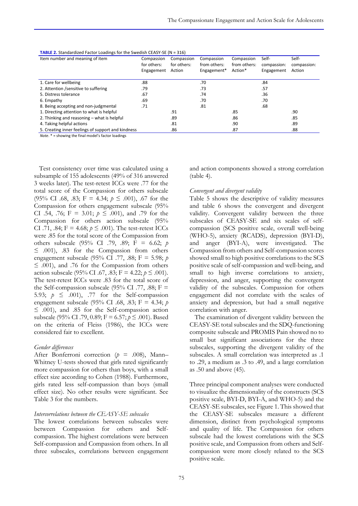| Item number and meaning of item                    | Compassion<br>for others: | Compassion<br>Compassion<br>for others:<br>from others: |             | Compassion<br>from others: | Self-<br>compassion: | Self-<br>compassion: |  |
|----------------------------------------------------|---------------------------|---------------------------------------------------------|-------------|----------------------------|----------------------|----------------------|--|
|                                                    | Engagement                | Action                                                  | Engagement* | Action*                    | Engagement           | Action               |  |
| 1. Care for wellbeing                              | .88                       |                                                         | .70         |                            | .84                  |                      |  |
| 2. Attention / sensitive to suffering              | .79                       |                                                         | .73         |                            | .57                  |                      |  |
| 5. Distress tolerance                              | .67                       |                                                         | .74         |                            | .36                  |                      |  |
| 6. Empathy                                         | .69                       |                                                         | .70         |                            | .70                  |                      |  |
| 8. Being accepting and non-judgmental              | .71                       |                                                         | .81         |                            | .68                  |                      |  |
| 1. Directing attention to what is helpful          |                           | .91                                                     |             | .85                        |                      | .90                  |  |
| 2. Thinking and reasoning - what is helpful        |                           | .89                                                     |             | .86                        |                      | .85                  |  |
| 4. Taking helpful actions                          |                           | .81                                                     |             | .90                        |                      | .89                  |  |
| 5. Creating inner feelings of support and kindness |                           | .86                                                     |             | .87                        |                      | .88                  |  |

**TABLE 2.** Standardized Factor Loadings for the Swedish CEASY-SE (N = 316)

*Note*. \* = showing the final model's factor loadings

Test consistency over time was calculated using a subsample of 155 adolescents (49% of 316 answered 3 weeks later). The test-retest ICCs were .77 for the total score of the Compassion for others subscale (95% CI .68, .83; F = 4.34; *p* ≤ .001), .67 for the Compassion for others engagement subscale (95% CI .54, .76; F = 3.01;  $p \le 0.001$ , and .79 for the Compassion for others action subscale (95% CI .71, .84;  $F = 4.68$ ;  $p \le .001$ ). The test-retest ICCs were .85 for the total score of the Compassion from others subscale (95% CI .79, .89; F = 6.62; *p* ≤ .001), .83 for the Compassion from others engagement subscale (95% CI .77, .88; F = 5.98; *p* ≤ .001), and .76 for the Compassion from others action subscale (95% CI .67, .83;  $F = 4.22$ ;  $p \le .001$ ). The test-retest ICCs were .83 for the total score of the Self-compassion subscale (95% CI .77, .88;  $F =$ 5.93;  $p \leq .001$ , .77 for the Self-compassion engagement subscale (95% CI .68, .83; F = 4.34; *p*  $\leq$  .001), and .85 for the Self-compassion action subscale (95% CI .79, 0.89; F = 6.57; *p* ≤ .001). Based on the criteria of Fleiss (1986), the ICCs were considered fair to excellent.

#### *Gender differences*

After Bonferroni correction (*p* = .008), Mann– Whitney U-tests showed that girls rated significantly more compassion for others than boys, with a small effect size according to Cohen (1988). Furthermore, girls rated less self-compassion than boys (small effect size). No other results were significant. See Table 3 for the numbers.

#### *Intercorrelations between the CEASY-SE subscales*

The lowest correlations between subscales were between Compassion for others and Selfcompassion. The highest correlations were between Self-compassion and Compassion from others. In all three subscales, correlations between engagement and action components showed a strong correlation (table 4).

#### *Convergent and divergent validity*

Table 5 shows the descriptive of validity measures and table 6 shows the convergent and divergent validity. Convergent validity between the three subscales of CEASY-SE and six scales of selfcompassion (SCS positive scale, overall well-being (WHO-5), anxiety (RCADS), depression (BYI-D), and anger (BYI-A), were investigated. The Compassion from others and Self-compassion scores showed small to high positive correlations to the SCS positive scale of self-compassion and well-being, and small to high inverse correlations to anxiety, depression, and anger, supporting the convergent validity of the subscales. Compassion for others engagement did not correlate with the scales of anxiety and depression, but had a small negative correlation with anger.

The examination of divergent validity between the CEASY-SE total subscales and the SDQ-functioning composite subscale and PROMIS Pain showed no to small but significant associations for the three subscales, supporting the divergent validity of the subscales. A small correlation was interpreted as .1 to .29, a medium as .3 to .49, and a large correlation as .50 and above (45).

Three principal component analyses were conducted to visualize the dimensionality of the constructs (SCS positive scale, BYI-D, BYI-A, and WHO-5) and the CEASY-SE subscales, see Figure 1. This showed that the CEASY-SE subscales measure a different dimension, distinct from psychological symptoms and quality of life. The Compassion for others subscale had the lowest correlations with the SCS positive scale, and Compassion from others and Selfcompassion were more closely related to the SCS positive scale.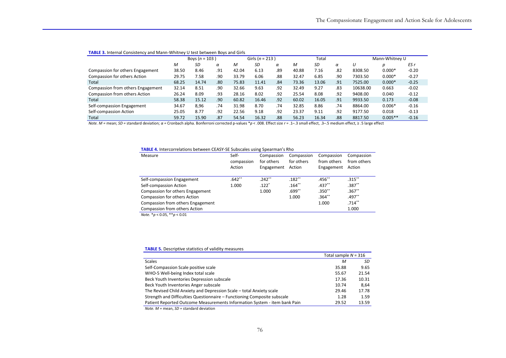|                                   | Boys ( $n = 103$ ) |       |     | Girls ( $n = 213$ ) |       |     | Total |       |     | Mann-Whitney U |           |         |
|-----------------------------------|--------------------|-------|-----|---------------------|-------|-----|-------|-------|-----|----------------|-----------|---------|
|                                   | M                  | SD    | α   | м                   | SD    | α   | M     | SD    | α   |                | D         | ES r    |
| Compassion for others Engagement  | 38.50              | 8.46  | .91 | 42.04               | 6.13  | .89 | 40.88 | 7.16  | .82 | 8308.50        | $0.000*$  | $-0.20$ |
| Compassion for others Action      | 29.75              | 7.58  | .90 | 33.79               | 6.06  | .88 | 32.47 | 6.85  | .90 | 7303.50        | $0.000*$  | $-0.27$ |
| Total                             | 68.25              | 14.74 | .80 | 75.83               | 11.41 | .84 | 73.36 | 13.06 | .91 | 7525.00        | $0.000*$  | $-0.25$ |
| Compassion from others Engagement | 32.14              | 8.51  | .90 | 32.66               | 9.63  | .92 | 32.49 | 9.27  | .83 | 10638.00       | 0.663     | $-0.02$ |
| Compassion from others Action     | 26.24              | 8.09  | .93 | 28.16               | 8.02  | .92 | 25.54 | 8.08  | .92 | 9408.00        | 0.040     | $-0.12$ |
| Total                             | 58.38              | 15.12 | .90 | 60.82               | 16.46 | .92 | 60.02 | 16.05 | .91 | 9933.50        | 0.173     | $-0.08$ |
| Self-compassion Engagement        | 34.67              | 8,96  | .74 | 31.98               | 8.70  | .74 | 32.85 | 8.86  | .74 | 8864.00        | $0.006*$  | $-0.16$ |
| Self-compassion Action            | 25.05              | 8.77  | .92 | 22.56               | 9.18  | .92 | 23.37 | 9.11  | .92 | 9177.50        | 0.018     | $-0.13$ |
| Total                             | 59.72              | 15.90 | .87 | 54.54               | 16.32 | .88 | 56.23 | 16.34 | .88 | 8817.50        | $0.005**$ | $-0.16$ |

#### **TABLE 3.** Internal Consistency and Mann-Whitney U test between Boys and Girls

*Note. M =* mean; *SD =* standard deviation; *α =* Cronbach alpha. Bonferroni corrected p-values \**p* < .008. Effect size *r* = .1–.3 small effect, .3–.5 medium effect, ≥ .5 large effect

#### **TABLE 4.** Intercorrelations between CEASY-SE Subscales using Spearman's Rho

| Measure                           | Self-      | Compassion | Compassion | Compassion  | Compassion  |
|-----------------------------------|------------|------------|------------|-------------|-------------|
|                                   | compassion | for others | for others | from others | from others |
|                                   | Action     | Engagement | Action     | Engagement  | Action      |
|                                   |            |            |            |             |             |
| Self-compassion Engagement        | $.642**$   | $.242***$  | $.182***$  | .456**      | $.315***$   |
| Self-compassion Action            | 1.000      | $.122*$    | $.164***$  | $.437***$   | $.387***$   |
| Compassion for others Engagement  |            | 1.000      | .699**     | $.350**$    | $.367***$   |
| Compassion for others Action      |            |            | 1.000      | $.364***$   | $.497**$    |
| Compassion from others Engagement |            |            |            | 1.000       | $.714***$   |
| Compassion from others Action     |            |            |            |             | 1.000       |
| $M - 1 - 2 - 1005$ $22 - 1004$    |            |            |            |             |             |

*Note.* \**p* < 0.05, \*\**p* < 0.01

#### **TABLE 5.** Descriptive statistics of validity measures

|                                                                           | Total sample $N = 316$ |       |
|---------------------------------------------------------------------------|------------------------|-------|
| <b>Scales</b>                                                             | M                      | SD    |
| Self-Compassion Scale positive scale                                      | 35.88                  | 9.65  |
| WHO-5 Well-being Index total scale                                        | 55.67                  | 21.54 |
| Beck Youth Inventories Depression subscale                                | 17.36                  | 10.31 |
| Beck Youth Inventories Anger subscale                                     | 10.74                  | 8.64  |
| The Revised Child Anxiety and Depression Scale – total Anxiety scale      | 29.46                  | 17.78 |
| Strength and Difficulties Questionnaire – Functioning Composite subscale  | 1.28                   | 1.59  |
| Patient Reported Outcome Measurements Information System - item bank Pain | 29.52                  | 13.59 |
|                                                                           |                        |       |

*Note. M =* mean, *SD =* standard deviation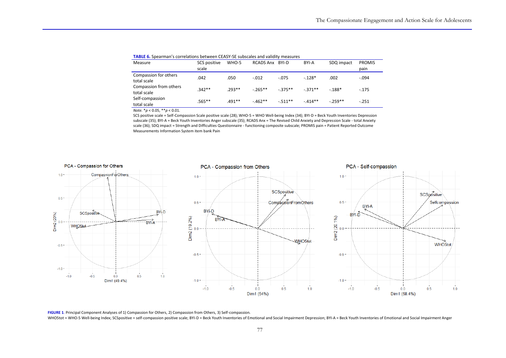| <b>TADLE OF SPECIFICATE STOTERIOUS DELWEEN CEAST SE SUBSCRIES UND VUINTLY INCOSULES</b> |                       |          |                 |          |          |            |                       |  |  |  |
|-----------------------------------------------------------------------------------------|-----------------------|----------|-----------------|----------|----------|------------|-----------------------|--|--|--|
| Measure                                                                                 | SCS positive<br>scale | WHO-5    | RCADS Anx BYI-D |          | BYI-A    | SDQ impact | <b>PROMIS</b><br>pain |  |  |  |
| Compassion for others<br>total scale                                                    | .042                  | .050     | $-.012$         | $-.075$  | $-.128*$ | .002       | $-.094$               |  |  |  |
| Compassion from others<br>total scale                                                   | $.342**$              | $.293**$ | $-265**$        | $-375**$ | $-371**$ | $-188*$    | $-175$                |  |  |  |
| Self-compassion<br>total scale                                                          | $.565**$              | $.491**$ | $-.462**$       | $-511**$ | $-414**$ | $-259**$   | $-.251$               |  |  |  |

#### **TABLE 6.** Spearman's correlations between CEASY-SE subscales and validity measures

*Note.* \**p* < 0.05, \*\**p* < 0.01.

SCS positive scale = Self-Compassion Scale positive scale (28); WHO-5 = WHO Well-being Index (34); BYI-D = Beck Youth Inventories Depression subscale (35); BYI-A = Beck Youth Inventories Anger subscale (35); RCADS Anx = The Revised Child Anxiety and Depression Scale - total Anxiety scale (36); SDQ impact = Strength and Difficulties Questionnaire - functioning composite subscale; PROMIS pain = Patient Reported Outcome Measurements Information System item bank Pain



**FIGURE 1**. Principal Component Analyses of 1) Compassion for Others, 2) Compassion from Others, 3) Self-compassion.

WHO5tot = WHO-5 Well-being Index; SCSpositive = self-compassion positive scale; BYI-D = Beck Youth Inventories of Emotional and Social Impairment Depression; BYI-A = Beck Youth Inventories of Emotional and Social Impairmen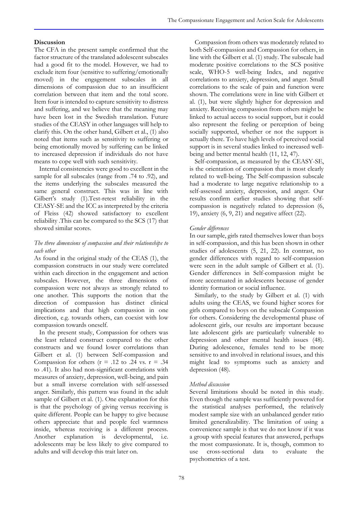### **Discussion**

The CFA in the present sample confirmed that the factor structure of the translated adolescent subscales had a good fit to the model. However, we had to exclude item four (sensitive to suffering/emotionally moved) in the engagement subscales in all dimensions of compassion due to an insufficient correlation between that item and the total score. Item four is intended to capture sensitivity to distress and suffering, and we believe that the meaning may have been lost in the Swedish translation. Future studies of the CEASY in other languages will help to clarify this. On the other hand, Gilbert et al., (1) also noted that items such as sensitivity to suffering or being emotionally moved by suffering can be linked to increased depression if individuals do not have means to cope well with such sensitivity.

Internal consistencies were good to excellent in the sample for all subscales (range from .74 to .92), and the items underlying the subscales measured the same general construct. This was in line with Gilbert's study (1).Test-retest reliability in the CEASY-SE and the ICC as interpreted by the criteria of Fleiss (42) showed satisfactory to excellent reliability .This can be compared to the SCS (17) that showed similar scores.

### *The three dimensions of compassion and their relationships to each other*

As found in the original study of the CEAS (1), the compassion constructs in our study were correlated within each direction in the engagement and action subscales. However, the three dimensions of compassion were not always as strongly related to one another. This supports the notion that the direction of compassion has distinct clinical implications and that high compassion in one direction, e.g. towards others, can coexist with low compassion towards oneself.

In the present study, Compassion for others was the least related construct compared to the other constructs and we found lower correlations than Gilbert et al. (1) between Self-compassion and Compassion for others  $(r = .12$  to  $.24$  vs.  $r = .34$ to .41). It also had non-significant correlations with measures of anxiety, depression, well-being, and pain but a small inverse correlation with self-assessed anger. Similarly, this pattern was found in the adult sample of Gilbert et al. (1). One explanation for this is that the psychology of giving versus receiving is quite different. People can be happy to give because others appreciate that and people feel warmness inside, whereas receiving is a different process. Another explanation is developmental, i.e. adolescents may be less likely to give compared to adults and will develop this trait later on.

Compassion from others was moderately related to both Self-compassion and Compassion for others, in line with the Gilbert et al. (1) study. The subscale had moderate positive correlations to the SCS positive scale, WHO-5 well-being Index, and negative correlations to anxiety, depression, and anger. Small correlations to the scale of pain and function were shown. The correlations were in line with Gilbert et al. (1), but were slightly higher for depression and anxiety. Receiving compassion from others might be linked to actual access to social support, but it could also represent the feeling or perception of being socially supported, whether or not the support is actually there. To have high levels of perceived social support is in several studies linked to increased wellbeing and better mental health (11, 12, 47).

Self-compassion, as measured by the CEASY-SE, is the orientation of compassion that is most clearly related to well-being. The Self-compassion subscale had a moderate to large negative relationship to a self-assessed anxiety, depression, and anger. Our results confirm earlier studies showing that selfcompassion is negatively related to depression (6, 19), anxiety (6, 9, 21) and negative affect (22).

#### *Gender differences*

In our sample, girls rated themselves lower than boys in self-compassion, and this has been shown in other studies of adolescents (5, 21, 22). In contrast, no gender differences with regard to self-compassion were seen in the adult sample of Gilbert et al. (1). Gender differences in Self-compassion might be more accentuated in adolescents because of gender identity formation or social influence.

Similarly, to the study by Gilbert et al. (1) with adults using the CEAS, we found higher scores for girls compared to boys on the subscale Compassion for others. Considering the developmental phase of adolescent girls, our results are important because late adolescent girls are particularly vulnerable to depression and other mental health issues (48). During adolescence, females tend to be more sensitive to and involved in relational issues, and this might lead to symptoms such as anxiety and depression (48).

#### *Method discussion*

Several limitations should be noted in this study. Even though the sample was sufficiently powered for the statistical analyses performed, the relatively modest sample size with an unbalanced gender ratio limited generalizability. The limitation of using a convenience sample is that we do not know if it was a group with special features that answered, perhaps the most compassionate. It is, though, common to use cross-sectional data to evaluate the psychometrics of a test.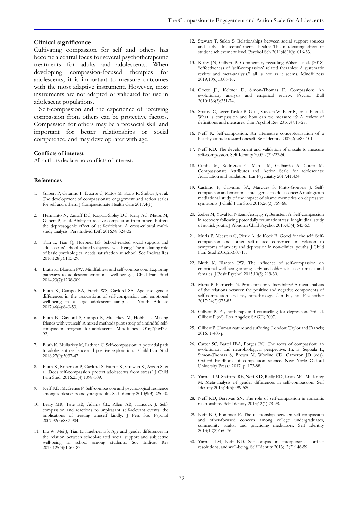#### **Clinical significance**

Cultivating compassion for self and others has become a central focus for several psychotherapeutic treatments for adults and adolescents. When developing compassion-focused therapies for adolescents, it is important to measure outcomes with the most adaptive instrument. However, most instruments are not adapted or validated for use in adolescent populations.

Self-compassion and the experience of receiving compassion from others can be protective factors. Compassion for others may be a prosocial skill and important for better relationships or social competence, and may develop later with age.

#### **Conflicts of interest**

All authors declare no conflicts of interest.

#### **References**

- 1. Gilbert P, Catarino F, Duarte C, Matos M, Kolts R, Stubbs J, et al. The development of compassionate engagement and action scales for self and others. J Compassionate Health Care 2017;4(1).
- 2. Hermanto N, Zuroff DC, Kopala-Sibley DC, Kelly AC, Matos M, Gilbert P, et al. Ability to receive compassion from others buffers the depressogenic effect of self-criticism: A cross-cultural multistudy analysis. Pers Individ Diff 2016;98:324-32.
- 3. Tian L, Tian Q, Huebner ES. School-related social support and adolescents' school-related subjective well-being: The mediating role of basic psychological needs satisfaction at school. Soc Indicat Res 2016;128(1):105-29.
- 4. Bluth K, Blanton PW. Mindfulness and self-compassion: Exploring pathways to adolescent emotional well-being. J Child Fam Stud 2014;23(7):1298-309.
- 5. Bluth K, Campo RA, Futch WS, Gaylord SA. Age and gender differences in the associations of self-compassion and emotional well-being in a large adolescent sample. J Youth Adolesc 2017;46(4):840-53.
- 6. Bluth K, Gaylord S, Campo R, Mullarkey M, Hobbs L. Making friends with yourself: A mixed methods pilot study of a mindful selfcompassion program for adolescents. Mindfulness 2016;7(2):479- 92.
- 7. Bluth K, Mullarkey M, Lathren C. Self-compassion: A potential path to adolescent resilience and positive exploration. J Child Fam Stud 2018;27(9):3037-47.
- 8. Bluth K, Roberson P, Gaylord S, Faurot K, Grewen K, Arzon S, et al. Does self-compassion protect adolescents from stress? J Child Fam Stud. 2016;25(4):1098-109.
- 9. Neff KD, McGehee P. Self-compassion and psychological resilience among adolescents and young adults. Self Identity 2010;9(3):225-40.
- 10. Leary MR, Tate EB, Adams CE, Allen AB, Hancock J. Selfcompassion and reactions to unpleasant self-relevant events: the implications of treating oneself kindly. J Pers Soc Psychol 2007;92(5):887-904.
- 11. Liu W, Mei J, Tian L, Huebner ES. Age and gender differences in the relation between school-related social support and subjective well-being in school among students. Soc Indicat Res 2015;125(3):1065-83.
- 12. Stewart T, Suldo S. Relationships between social support sources and early adolescents' mental health: The moderating effect of student achievement level. Psychol Sch 2011;48(10):1016-33.
- 13. Kirby JN, Gilbert P. Commentary regarding Wilson et al. (2018) "effectiveness of 'self-compassion' related therapies: A systematic review and meta-analysis." all is not as it seems. Mindfulness 2019;10(6):1006-16.
- 14. Goetz JL, Keltner D, Simon-Thomas E. Compassion: An evolutionary analysis and empirical review. Psychol Bull 2010;136(3):351-74.
- 15. Strauss C, Lever Taylor B, Gu J, Kuyken W, Baer R, Jones F, et al. What is compassion and how can we measure it? A review of definitions and measures. Clin Psychol Rev 2016;47:15-27.
- 16. Neff K. Self-compassion: An alternative conceptualization of a healthy attitude toward oneself. Self Identity 2003;2(2):85-101.
- 17. Neff KD. The development and validation of a scale to measure self-compassion. Self Identity 2003;2(3):223-50.
- 18. Cunha M, Rodrigues C, Matos M, Galhardo A, Couto M. Compassionate Attributes and Action Scale for adolescents: Adaptation and validation. Eur Psychiatry 2017;41:434.
- 19. Castilho P, Carvalho SA, Marques S, Pinto-Gouveia J. Selfcompassion and emotional intelligence in adolescence: A multigroup mediational study of the impact of shame memories on depressive symptoms. J Child Fam Stud 2016;26(3):759-68.
- 20. Zeller M, Yuval K, Nitzan-Assayag Y, Bernstein A. Self-compassion in recovery following potentially traumatic stress: longitudinal study of at-risk youth. J Abnorm Child Psychol 2015;43(4):645-53.
- 21. Muris P, Meesters C, Pierik A, de Kock B. Good for the self: Selfcompassion and other self-related constructs in relation to symptoms of anxiety and depression in non-clinical youths. J Child Fam Stud 2016;25:607-17.
- 22. Bluth K, Blanton PW. The influence of self-compassion on emotional well-being among early and older adolescent males and females. J Posit Psychol 2015;10(3):219-30.
- 23. Muris P, Petrocchi N. Protection or vulnerability? A meta-analysis of the relations between the positive and negative components of self-compassion and psychopathology. Clin Psychol Psychother  $2017;24(2):373-83.$
- 24. Gilbert P. Psychotherapy and counselling for depression. 3rd ed. Gilbert P (ed). Los Angeles: SAGE; 2007.
- 25. Gilbert P. Human nature and suffering. London: Taylor and Francis; 2016. 1-403 p.
- 26. Carter SC, Bartel IBA, Porges EC. The roots of compassion: an evolutionary and neurobiological perspective. In: E. Seppala E, Simon-Thomas S, Brown M, Worline CD, Cameron JD (eds). Oxford handbook of compassion science. New York: Oxford University Press.; 2017. p. 173-88.
- 27. Yarnell LM, Stafford RE, Neff KD, Reilly ED, Knox MC, Mullarkey M. Meta-analysis of gender differences in self-compassion. Self Identity 2015;14(5):499-520.
- 28. Neff KD, Beretvas SN. The role of self-compassion in romantic relationships. Self Identity 2013;12(1):78-98.
- 29. Neff KD, Pommier E. The relationship between self-compassion and other-focused concern among college undergraduates, community adults, and practicing meditators. Self Identity 2013;12(2):160-76.
- 30. Yarnell LM, Neff KD. Self-compassion, interpersonal conflict resolutions, and well-being. Self Identity 2013;12(2):146-59.